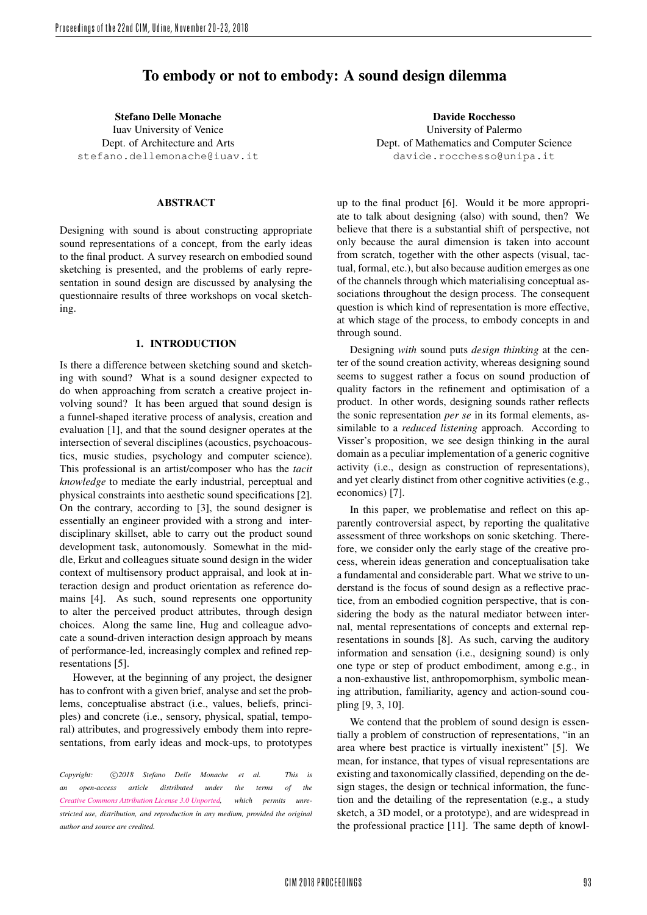# To embody or not to embody: A sound design dilemma

Stefano Delle Monache Iuav University of Venice Dept. of Architecture and Arts stefano.dellemonache@iuav.it

## ABSTRACT

Designing with sound is about constructing appropriate sound representations of a concept, from the early ideas to the final product. A survey research on embodied sound sketching is presented, and the problems of early representation in sound design are discussed by analysing the questionnaire results of three workshops on vocal sketching.

# 1. INTRODUCTION

Is there a difference between sketching sound and sketching with sound? What is a sound designer expected to do when approaching from scratch a creative project involving sound? It has been argued that sound design is a funnel-shaped iterative process of analysis, creation and evaluation [1], and that the sound designer operates at the intersection of several disciplines (acoustics, psychoacoustics, music studies, psychology and computer science). This professional is an artist/composer who has the *tacit knowledge* to mediate the early industrial, perceptual and physical constraints into aesthetic sound specifications [2]. On the contrary, according to [3], the sound designer is essentially an engineer provided with a strong and interdisciplinary skillset, able to carry out the product sound development task, autonomously. Somewhat in the middle, Erkut and colleagues situate sound design in the wider context of multisensory product appraisal, and look at interaction design and product orientation as reference domains [4]. As such, sound represents one opportunity to alter the perceived product attributes, through design choices. Along the same line, Hug and colleague advocate a sound-driven interaction design approach by means of performance-led, increasingly complex and refined representations [5].

However, at the beginning of any project, the designer has to confront with a given brief, analyse and set the problems, conceptualise abstract (i.e., values, beliefs, principles) and concrete (i.e., sensory, physical, spatial, temporal) attributes, and progressively embody them into representations, from early ideas and mock-ups, to prototypes

*Copyright:* �c *2018 Stefano Delle Monache et al. This is an open-access article distributed under the terms of the Creative Commons Attribution License 3.0 Unported, which permits unrestricted use, distribution, and reproduction in any medium, provided the original author and source are credited.*

Davide Rocchesso University of Palermo Dept. of Mathematics and Computer Science davide.rocchesso@unipa.it

up to the final product [6]. Would it be more appropriate to talk about designing (also) with sound, then? We believe that there is a substantial shift of perspective, not only because the aural dimension is taken into account from scratch, together with the other aspects (visual, tactual, formal, etc.), but also because audition emerges as one of the channels through which materialising conceptual associations throughout the design process. The consequent question is which kind of representation is more effective, at which stage of the process, to embody concepts in and through sound.

Designing *with* sound puts *design thinking* at the center of the sound creation activity, whereas designing sound seems to suggest rather a focus on sound production of quality factors in the refinement and optimisation of a product. In other words, designing sounds rather reflects the sonic representation *per se* in its formal elements, assimilable to a *reduced listening* approach. According to Visser's proposition, we see design thinking in the aural domain as a peculiar implementation of a generic cognitive activity (i.e., design as construction of representations), and yet clearly distinct from other cognitive activities (e.g., economics) [7].

In this paper, we problematise and reflect on this apparently controversial aspect, by reporting the qualitative assessment of three workshops on sonic sketching. Therefore, we consider only the early stage of the creative process, wherein ideas generation and conceptualisation take a fundamental and considerable part. What we strive to understand is the focus of sound design as a reflective practice, from an embodied cognition perspective, that is considering the body as the natural mediator between internal, mental representations of concepts and external representations in sounds [8]. As such, carving the auditory information and sensation (i.e., designing sound) is only one type or step of product embodiment, among e.g., in a non-exhaustive list, anthropomorphism, symbolic meaning attribution, familiarity, agency and action-sound coupling [9, 3, 10].

We contend that the problem of sound design is essentially a problem of construction of representations, "in an area where best practice is virtually inexistent" [5]. We mean, for instance, that types of visual representations are existing and taxonomically classified, depending on the design stages, the design or technical information, the function and the detailing of the representation (e.g., a study sketch, a 3D model, or a prototype), and are widespread in the professional practice [11]. The same depth of knowl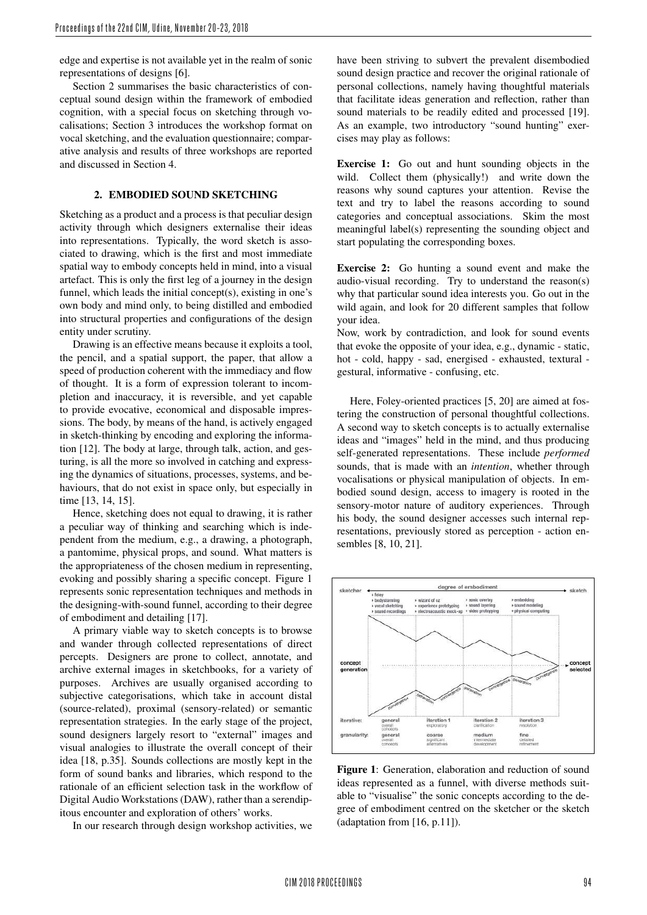edge and expertise is not available yet in the realm of sonic representations of designs [6].

Section 2 summarises the basic characteristics of conceptual sound design within the framework of embodied cognition, with a special focus on sketching through vocalisations; Section 3 introduces the workshop format on vocal sketching, and the evaluation questionnaire; comparative analysis and results of three workshops are reported and discussed in Section 4.

# 2. EMBODIED SOUND SKETCHING

Sketching as a product and a process is that peculiar design activity through which designers externalise their ideas into representations. Typically, the word sketch is associated to drawing, which is the first and most immediate spatial way to embody concepts held in mind, into a visual artefact. This is only the first leg of a journey in the design funnel, which leads the initial concept(s), existing in one's own body and mind only, to being distilled and embodied into structural properties and configurations of the design entity under scrutiny.

Drawing is an effective means because it exploits a tool, the pencil, and a spatial support, the paper, that allow a speed of production coherent with the immediacy and flow of thought. It is a form of expression tolerant to incompletion and inaccuracy, it is reversible, and yet capable to provide evocative, economical and disposable impressions. The body, by means of the hand, is actively engaged in sketch-thinking by encoding and exploring the information [12]. The body at large, through talk, action, and gesturing, is all the more so involved in catching and expressing the dynamics of situations, processes, systems, and behaviours, that do not exist in space only, but especially in time [13, 14, 15].

Hence, sketching does not equal to drawing, it is rather a peculiar way of thinking and searching which is independent from the medium, e.g., a drawing, a photograph, a pantomime, physical props, and sound. What matters is the appropriateness of the chosen medium in representing, evoking and possibly sharing a specific concept. Figure 1 represents sonic representation techniques and methods in the designing-with-sound funnel, according to their degree of embodiment and detailing [17].

A primary viable way to sketch concepts is to browse and wander through collected representations of direct percepts. Designers are prone to collect, annotate, and archive external images in sketchbooks, for a variety of purposes. Archives are usually organised according to subjective categorisations, which take in account distal (source-related), proximal (sensory-related) or semantic representation strategies. In the early stage of the project, sound designers largely resort to "external" images and visual analogies to illustrate the overall concept of their idea [18, p.35]. Sounds collections are mostly kept in the form of sound banks and libraries, which respond to the rationale of an efficient selection task in the workflow of Digital Audio Workstations (DAW), rather than a serendipitous encounter and exploration of others' works.

In our research through design workshop activities, we

have been striving to subvert the prevalent disembodied sound design practice and recover the original rationale of personal collections, namely having thoughtful materials that facilitate ideas generation and reflection, rather than sound materials to be readily edited and processed [19]. As an example, two introductory "sound hunting" exercises may play as follows:

Exercise 1: Go out and hunt sounding objects in the wild. Collect them (physically!) and write down the reasons why sound captures your attention. Revise the text and try to label the reasons according to sound categories and conceptual associations. Skim the most meaningful label(s) representing the sounding object and start populating the corresponding boxes.

Exercise 2: Go hunting a sound event and make the audio-visual recording. Try to understand the reason(s) why that particular sound idea interests you. Go out in the wild again, and look for 20 different samples that follow your idea.

Now, work by contradiction, and look for sound events that evoke the opposite of your idea, e.g., dynamic - static, hot - cold, happy - sad, energised - exhausted, textural gestural, informative - confusing, etc.

Here, Foley-oriented practices [5, 20] are aimed at fostering the construction of personal thoughtful collections. A second way to sketch concepts is to actually externalise ideas and "images" held in the mind, and thus producing self-generated representations. These include *performed* sounds, that is made with an *intention*, whether through vocalisations or physical manipulation of objects. In embodied sound design, access to imagery is rooted in the sensory-motor nature of auditory experiences. Through his body, the sound designer accesses such internal representations, previously stored as perception - action ensembles [8, 10, 21].



Figure 1: Generation, elaboration and reduction of sound ideas represented as a funnel, with diverse methods suitable to "visualise" the sonic concepts according to the degree of embodiment centred on the sketcher or the sketch (adaptation from [16, p.11]).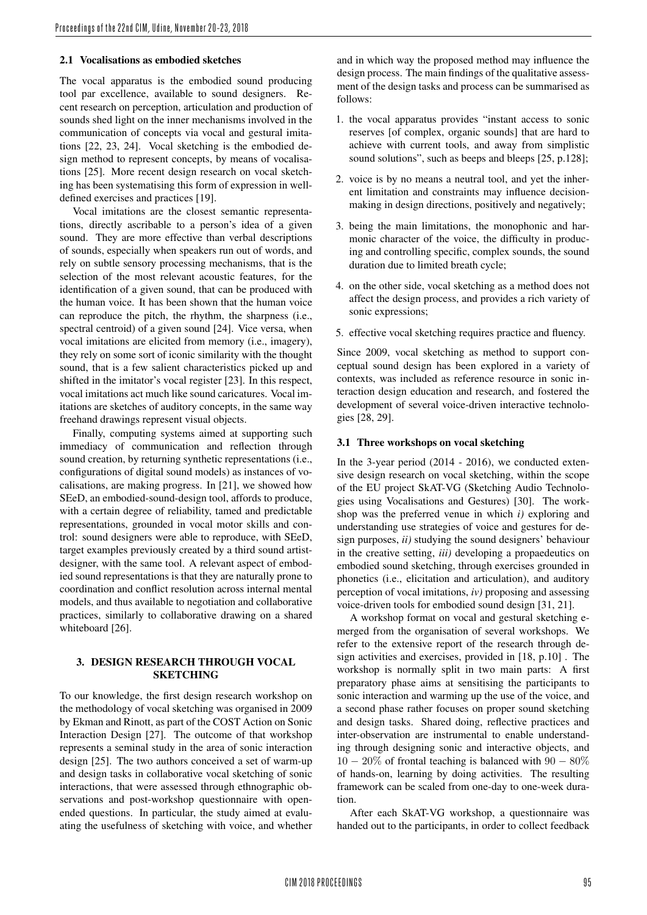## 2.1 Vocalisations as embodied sketches

The vocal apparatus is the embodied sound producing tool par excellence, available to sound designers. Recent research on perception, articulation and production of sounds shed light on the inner mechanisms involved in the communication of concepts via vocal and gestural imitations [22, 23, 24]. Vocal sketching is the embodied design method to represent concepts, by means of vocalisations [25]. More recent design research on vocal sketching has been systematising this form of expression in welldefined exercises and practices [19].

Vocal imitations are the closest semantic representations, directly ascribable to a person's idea of a given sound. They are more effective than verbal descriptions of sounds, especially when speakers run out of words, and rely on subtle sensory processing mechanisms, that is the selection of the most relevant acoustic features, for the identification of a given sound, that can be produced with the human voice. It has been shown that the human voice can reproduce the pitch, the rhythm, the sharpness (i.e., spectral centroid) of a given sound [24]. Vice versa, when vocal imitations are elicited from memory (i.e., imagery), they rely on some sort of iconic similarity with the thought sound, that is a few salient characteristics picked up and shifted in the imitator's vocal register [23]. In this respect, vocal imitations act much like sound caricatures. Vocal imitations are sketches of auditory concepts, in the same way freehand drawings represent visual objects.

Finally, computing systems aimed at supporting such immediacy of communication and reflection through sound creation, by returning synthetic representations (i.e., configurations of digital sound models) as instances of vocalisations, are making progress. In [21], we showed how SEeD, an embodied-sound-design tool, affords to produce, with a certain degree of reliability, tamed and predictable representations, grounded in vocal motor skills and control: sound designers were able to reproduce, with SEeD, target examples previously created by a third sound artistdesigner, with the same tool. A relevant aspect of embodied sound representations is that they are naturally prone to coordination and conflict resolution across internal mental models, and thus available to negotiation and collaborative practices, similarly to collaborative drawing on a shared whiteboard [26].

# 3. DESIGN RESEARCH THROUGH VOCAL **SKETCHING**

To our knowledge, the first design research workshop on the methodology of vocal sketching was organised in 2009 by Ekman and Rinott, as part of the COST Action on Sonic Interaction Design [27]. The outcome of that workshop represents a seminal study in the area of sonic interaction design [25]. The two authors conceived a set of warm-up and design tasks in collaborative vocal sketching of sonic interactions, that were assessed through ethnographic observations and post-workshop questionnaire with openended questions. In particular, the study aimed at evaluating the usefulness of sketching with voice, and whether and in which way the proposed method may influence the design process. The main findings of the qualitative assessment of the design tasks and process can be summarised as follows:

- 1. the vocal apparatus provides "instant access to sonic reserves [of complex, organic sounds] that are hard to achieve with current tools, and away from simplistic sound solutions", such as beeps and bleeps [25, p.128];
- 2. voice is by no means a neutral tool, and yet the inherent limitation and constraints may influence decisionmaking in design directions, positively and negatively;
- 3. being the main limitations, the monophonic and harmonic character of the voice, the difficulty in producing and controlling specific, complex sounds, the sound duration due to limited breath cycle;
- 4. on the other side, vocal sketching as a method does not affect the design process, and provides a rich variety of sonic expressions;
- 5. effective vocal sketching requires practice and fluency.

Since 2009, vocal sketching as method to support conceptual sound design has been explored in a variety of contexts, was included as reference resource in sonic interaction design education and research, and fostered the development of several voice-driven interactive technologies [28, 29].

#### 3.1 Three workshops on vocal sketching

In the 3-year period (2014 - 2016), we conducted extensive design research on vocal sketching, within the scope of the EU project SkAT-VG (Sketching Audio Technologies using Vocalisations and Gestures) [30]. The workshop was the preferred venue in which *i)* exploring and understanding use strategies of voice and gestures for design purposes, *ii)* studying the sound designers' behaviour in the creative setting, *iii)* developing a propaedeutics on embodied sound sketching, through exercises grounded in phonetics (i.e., elicitation and articulation), and auditory perception of vocal imitations, *iv)* proposing and assessing voice-driven tools for embodied sound design [31, 21].

A workshop format on vocal and gestural sketching emerged from the organisation of several workshops. We refer to the extensive report of the research through design activities and exercises, provided in [18, p.10] . The workshop is normally split in two main parts: A first preparatory phase aims at sensitising the participants to sonic interaction and warming up the use of the voice, and a second phase rather focuses on proper sound sketching and design tasks. Shared doing, reflective practices and inter-observation are instrumental to enable understanding through designing sonic and interactive objects, and  $10 - 20\%$  of frontal teaching is balanced with  $90 - 80\%$ of hands-on, learning by doing activities. The resulting framework can be scaled from one-day to one-week duration.

After each SkAT-VG workshop, a questionnaire was handed out to the participants, in order to collect feedback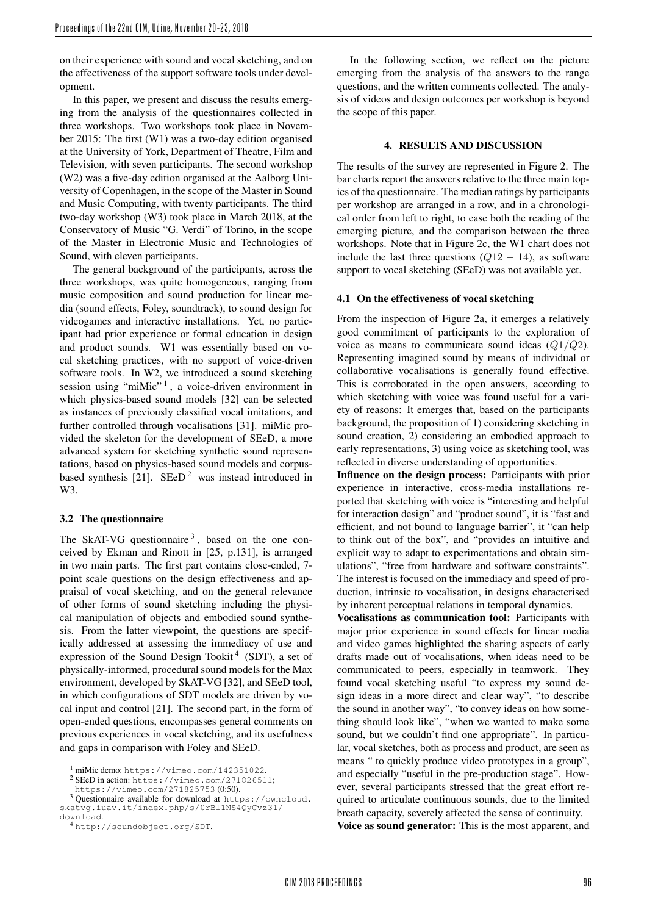on their experience with sound and vocal sketching, and on the effectiveness of the support software tools under development.

In this paper, we present and discuss the results emerging from the analysis of the questionnaires collected in three workshops. Two workshops took place in November 2015: The first (W1) was a two-day edition organised at the University of York, Department of Theatre, Film and Television, with seven participants. The second workshop (W2) was a five-day edition organised at the Aalborg University of Copenhagen, in the scope of the Master in Sound and Music Computing, with twenty participants. The third two-day workshop (W3) took place in March 2018, at the Conservatory of Music "G. Verdi" of Torino, in the scope of the Master in Electronic Music and Technologies of Sound, with eleven participants.

The general background of the participants, across the three workshops, was quite homogeneous, ranging from music composition and sound production for linear media (sound effects, Foley, soundtrack), to sound design for videogames and interactive installations. Yet, no participant had prior experience or formal education in design and product sounds. W1 was essentially based on vocal sketching practices, with no support of voice-driven software tools. In W2, we introduced a sound sketching session using "miMic" $1$ , a voice-driven environment in which physics-based sound models [32] can be selected as instances of previously classified vocal imitations, and further controlled through vocalisations [31]. miMic provided the skeleton for the development of SEeD, a more advanced system for sketching synthetic sound representations, based on physics-based sound models and corpusbased synthesis [21]. SEeD<sup>2</sup> was instead introduced in W3.

## 3.2 The questionnaire

The SkAT-VG questionnaire  $3$ , based on the one conceived by Ekman and Rinott in [25, p.131], is arranged in two main parts. The first part contains close-ended, 7 point scale questions on the design effectiveness and appraisal of vocal sketching, and on the general relevance of other forms of sound sketching including the physical manipulation of objects and embodied sound synthesis. From the latter viewpoint, the questions are specifically addressed at assessing the immediacy of use and expression of the Sound Design Tookit<sup>4</sup> (SDT), a set of physically-informed, procedural sound models for the Max environment, developed by SkAT-VG [32], and SEeD tool, in which configurations of SDT models are driven by vocal input and control [21]. The second part, in the form of open-ended questions, encompasses general comments on previous experiences in vocal sketching, and its usefulness and gaps in comparison with Foley and SEeD.

In the following section, we reflect on the picture emerging from the analysis of the answers to the range questions, and the written comments collected. The analysis of videos and design outcomes per workshop is beyond the scope of this paper.

#### 4. RESULTS AND DISCUSSION

The results of the survey are represented in Figure 2. The bar charts report the answers relative to the three main topics of the questionnaire. The median ratings by participants per workshop are arranged in a row, and in a chronological order from left to right, to ease both the reading of the emerging picture, and the comparison between the three workshops. Note that in Figure 2c, the W1 chart does not include the last three questions  $(Q12 - 14)$ , as software support to vocal sketching (SEeD) was not available yet.

#### 4.1 On the effectiveness of vocal sketching

From the inspection of Figure 2a, it emerges a relatively good commitment of participants to the exploration of voice as means to communicate sound ideas  $(Q1/Q2)$ . Representing imagined sound by means of individual or collaborative vocalisations is generally found effective. This is corroborated in the open answers, according to which sketching with voice was found useful for a variety of reasons: It emerges that, based on the participants background, the proposition of 1) considering sketching in sound creation, 2) considering an embodied approach to early representations, 3) using voice as sketching tool, was reflected in diverse understanding of opportunities.

Influence on the design process: Participants with prior experience in interactive, cross-media installations reported that sketching with voice is "interesting and helpful for interaction design" and "product sound", it is "fast and efficient, and not bound to language barrier", it "can help to think out of the box", and "provides an intuitive and explicit way to adapt to experimentations and obtain simulations", "free from hardware and software constraints". The interest is focused on the immediacy and speed of production, intrinsic to vocalisation, in designs characterised by inherent perceptual relations in temporal dynamics.

Vocalisations as communication tool: Participants with major prior experience in sound effects for linear media and video games highlighted the sharing aspects of early drafts made out of vocalisations, when ideas need to be communicated to peers, especially in teamwork. They found vocal sketching useful "to express my sound design ideas in a more direct and clear way", "to describe the sound in another way", "to convey ideas on how something should look like", "when we wanted to make some sound, but we couldn't find one appropriate". In particular, vocal sketches, both as process and product, are seen as means " to quickly produce video prototypes in a group", and especially "useful in the pre-production stage". However, several participants stressed that the great effort required to articulate continuous sounds, due to the limited breath capacity, severely affected the sense of continuity.

Voice as sound generator: This is the most apparent, and

<sup>1</sup> miMic demo: https://vimeo.com/142351022.

<sup>2</sup> SEeD in action: https://vimeo.com/271826511;

https://vimeo.com/271825753 (0:50).

<sup>3</sup> Questionnaire available for download at https://owncloud. skatvg.iuav.it/index.php/s/0rBl1NS4QyCvz31/ download.

<sup>4</sup> http://soundobject.org/SDT.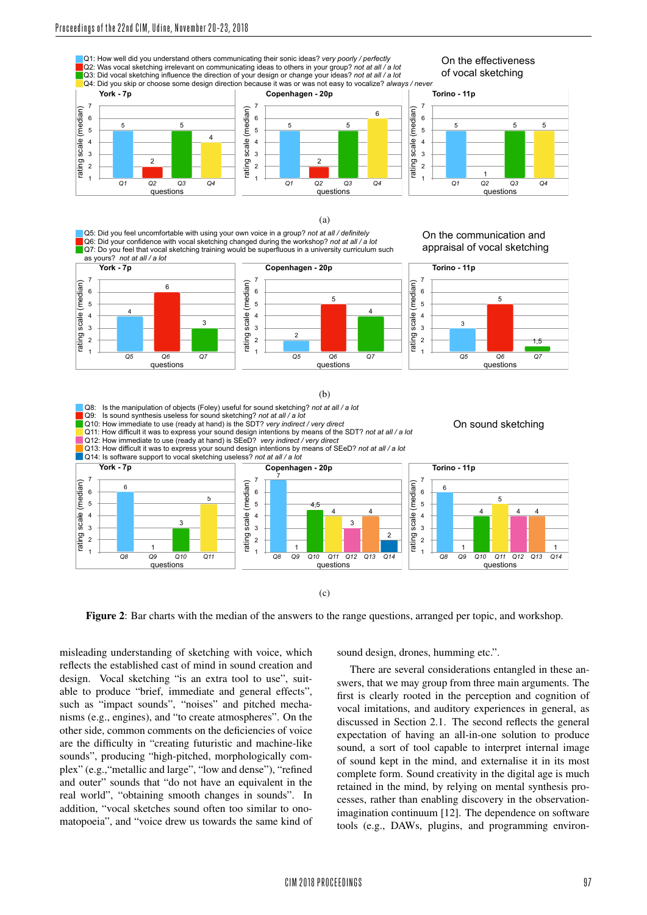

Figure 2: Bar charts with the median of the answers to the range questions, arranged per topic, and workshop.

misleading understanding of sketching with voice, which reflects the established cast of mind in sound creation and design. Vocal sketching "is an extra tool to use", suitable to produce "brief, immediate and general effects", such as "impact sounds", "noises" and pitched mechanisms (e.g., engines), and "to create atmospheres". On the other side, common comments on the deficiencies of voice are the difficulty in "creating futuristic and machine-like sounds", producing "high-pitched, morphologically complex" (e.g., "metallic and large", "low and dense"), "refined and outer" sounds that "do not have an equivalent in the real world", "obtaining smooth changes in sounds". In addition, "vocal sketches sound often too similar to onomatopoeia", and "voice drew us towards the same kind of sound design, drones, humming etc.".

There are several considerations entangled in these answers, that we may group from three main arguments. The first is clearly rooted in the perception and cognition of vocal imitations, and auditory experiences in general, as discussed in Section 2.1. The second reflects the general expectation of having an all-in-one solution to produce sound, a sort of tool capable to interpret internal image of sound kept in the mind, and externalise it in its most complete form. Sound creativity in the digital age is much retained in the mind, by relying on mental synthesis processes, rather than enabling discovery in the observationimagination continuum [12]. The dependence on software tools (e.g., DAWs, plugins, and programming environ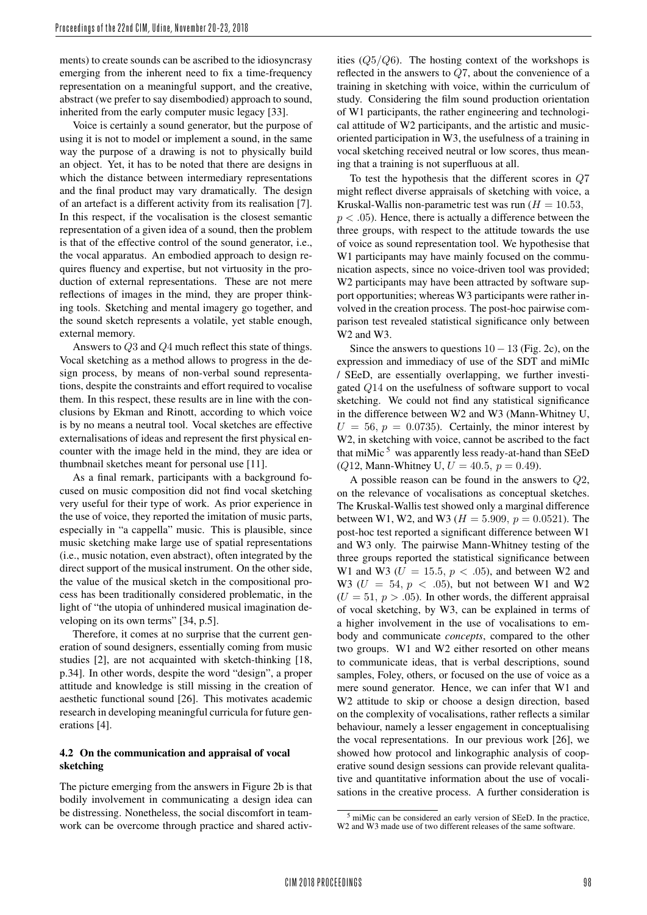ments) to create sounds can be ascribed to the idiosyncrasy emerging from the inherent need to fix a time-frequency representation on a meaningful support, and the creative, abstract (we prefer to say disembodied) approach to sound, inherited from the early computer music legacy [33].

Voice is certainly a sound generator, but the purpose of using it is not to model or implement a sound, in the same way the purpose of a drawing is not to physically build an object. Yet, it has to be noted that there are designs in which the distance between intermediary representations and the final product may vary dramatically. The design of an artefact is a different activity from its realisation [7]. In this respect, if the vocalisation is the closest semantic representation of a given idea of a sound, then the problem is that of the effective control of the sound generator, i.e., the vocal apparatus. An embodied approach to design requires fluency and expertise, but not virtuosity in the production of external representations. These are not mere reflections of images in the mind, they are proper thinking tools. Sketching and mental imagery go together, and the sound sketch represents a volatile, yet stable enough, external memory.

Answers to Q3 and Q4 much reflect this state of things. Vocal sketching as a method allows to progress in the design process, by means of non-verbal sound representations, despite the constraints and effort required to vocalise them. In this respect, these results are in line with the conclusions by Ekman and Rinott, according to which voice is by no means a neutral tool. Vocal sketches are effective externalisations of ideas and represent the first physical encounter with the image held in the mind, they are idea or thumbnail sketches meant for personal use [11].

As a final remark, participants with a background focused on music composition did not find vocal sketching very useful for their type of work. As prior experience in the use of voice, they reported the imitation of music parts, especially in "a cappella" music. This is plausible, since music sketching make large use of spatial representations (i.e., music notation, even abstract), often integrated by the direct support of the musical instrument. On the other side, the value of the musical sketch in the compositional process has been traditionally considered problematic, in the light of "the utopia of unhindered musical imagination developing on its own terms" [34, p.5].

Therefore, it comes at no surprise that the current generation of sound designers, essentially coming from music studies [2], are not acquainted with sketch-thinking [18, p.34]. In other words, despite the word "design", a proper attitude and knowledge is still missing in the creation of aesthetic functional sound [26]. This motivates academic research in developing meaningful curricula for future generations [4].

# 4.2 On the communication and appraisal of vocal sketching

The picture emerging from the answers in Figure 2b is that bodily involvement in communicating a design idea can be distressing. Nonetheless, the social discomfort in teamwork can be overcome through practice and shared activities  $(Q5/Q6)$ . The hosting context of the workshops is reflected in the answers to Q7, about the convenience of a training in sketching with voice, within the curriculum of study. Considering the film sound production orientation of W1 participants, the rather engineering and technological attitude of W2 participants, and the artistic and musicoriented participation in W3, the usefulness of a training in vocal sketching received neutral or low scores, thus meaning that a training is not superfluous at all.

To test the hypothesis that the different scores in Q7 might reflect diverse appraisals of sketching with voice, a Kruskal-Wallis non-parametric test was run  $(H = 10.53,$  $p < .05$ ). Hence, there is actually a difference between the three groups, with respect to the attitude towards the use of voice as sound representation tool. We hypothesise that W<sub>1</sub> participants may have mainly focused on the communication aspects, since no voice-driven tool was provided; W<sub>2</sub> participants may have been attracted by software support opportunities; whereas W3 participants were rather involved in the creation process. The post-hoc pairwise comparison test revealed statistical significance only between W2 and W3.

Since the answers to questions  $10 - 13$  (Fig. 2c), on the expression and immediacy of use of the SDT and miMIc / SEeD, are essentially overlapping, we further investigated Q14 on the usefulness of software support to vocal sketching. We could not find any statistical significance in the difference between W2 and W3 (Mann-Whitney U,  $U = 56$ ,  $p = 0.0735$ . Certainly, the minor interest by W2, in sketching with voice, cannot be ascribed to the fact that miMic<sup>5</sup> was apparently less ready-at-hand than SEeD ( $Q12$ , Mann-Whitney U,  $U = 40.5$ ,  $p = 0.49$ ).

A possible reason can be found in the answers to Q2, on the relevance of vocalisations as conceptual sketches. The Kruskal-Wallis test showed only a marginal difference between W1, W2, and W3 ( $H = 5.909$ ,  $p = 0.0521$ ). The post-hoc test reported a significant difference between W1 and W3 only. The pairwise Mann-Whitney testing of the three groups reported the statistical significance between W1 and W3 ( $U = 15.5, p < .05$ ), and between W2 and W3 ( $U = 54$ ,  $p < .05$ ), but not between W1 and W2  $(U = 51, p > .05)$ . In other words, the different appraisal of vocal sketching, by W3, can be explained in terms of a higher involvement in the use of vocalisations to embody and communicate *concepts*, compared to the other two groups. W1 and W2 either resorted on other means to communicate ideas, that is verbal descriptions, sound samples, Foley, others, or focused on the use of voice as a mere sound generator. Hence, we can infer that W1 and W2 attitude to skip or choose a design direction, based on the complexity of vocalisations, rather reflects a similar behaviour, namely a lesser engagement in conceptualising the vocal representations. In our previous work [26], we showed how protocol and linkographic analysis of cooperative sound design sessions can provide relevant qualitative and quantitative information about the use of vocalisations in the creative process. A further consideration is

<sup>5</sup> miMic can be considered an early version of SEeD. In the practice, W2 and W3 made use of two different releases of the same software.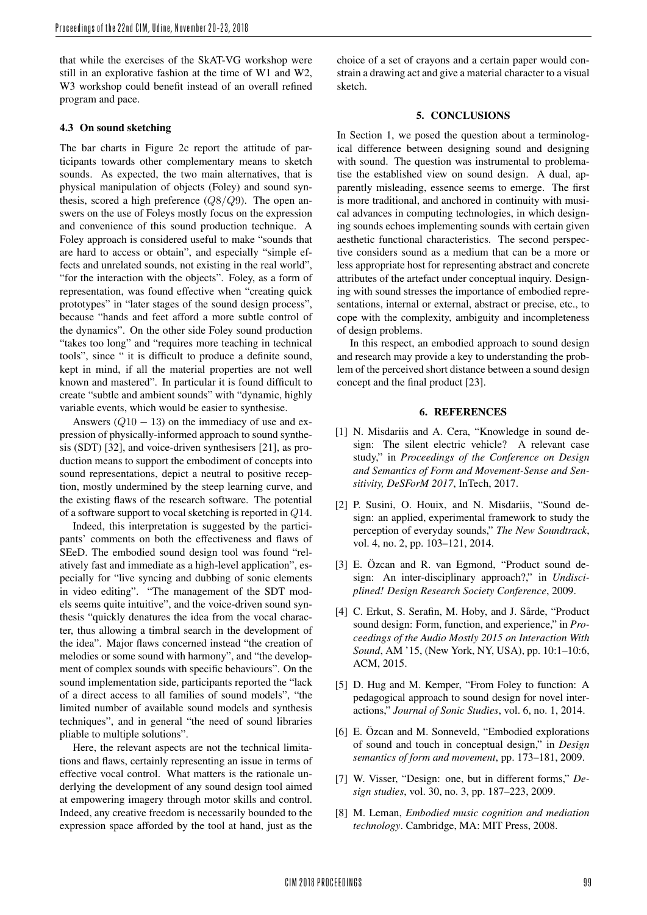that while the exercises of the SkAT-VG workshop were still in an explorative fashion at the time of W1 and W2, W3 workshop could benefit instead of an overall refined program and pace.

#### 4.3 On sound sketching

The bar charts in Figure 2c report the attitude of participants towards other complementary means to sketch sounds. As expected, the two main alternatives, that is physical manipulation of objects (Foley) and sound synthesis, scored a high preference  $(Q8/Q9)$ . The open answers on the use of Foleys mostly focus on the expression and convenience of this sound production technique. A Foley approach is considered useful to make "sounds that are hard to access or obtain", and especially "simple effects and unrelated sounds, not existing in the real world", "for the interaction with the objects". Foley, as a form of representation, was found effective when "creating quick prototypes" in "later stages of the sound design process", because "hands and feet afford a more subtle control of the dynamics". On the other side Foley sound production "takes too long" and "requires more teaching in technical tools", since " it is difficult to produce a definite sound, kept in mind, if all the material properties are not well known and mastered". In particular it is found difficult to create "subtle and ambient sounds" with "dynamic, highly variable events, which would be easier to synthesise.

Answers  $(Q10 - 13)$  on the immediacy of use and expression of physically-informed approach to sound synthesis (SDT) [32], and voice-driven synthesisers [21], as production means to support the embodiment of concepts into sound representations, depict a neutral to positive reception, mostly undermined by the steep learning curve, and the existing flaws of the research software. The potential of a software support to vocal sketching is reported in Q14.

Indeed, this interpretation is suggested by the participants' comments on both the effectiveness and flaws of SEeD. The embodied sound design tool was found "relatively fast and immediate as a high-level application", especially for "live syncing and dubbing of sonic elements in video editing". "The management of the SDT models seems quite intuitive", and the voice-driven sound synthesis "quickly denatures the idea from the vocal character, thus allowing a timbral search in the development of the idea". Major flaws concerned instead "the creation of melodies or some sound with harmony", and "the development of complex sounds with specific behaviours". On the sound implementation side, participants reported the "lack of a direct access to all families of sound models", "the limited number of available sound models and synthesis techniques", and in general "the need of sound libraries pliable to multiple solutions".

Here, the relevant aspects are not the technical limitations and flaws, certainly representing an issue in terms of effective vocal control. What matters is the rationale underlying the development of any sound design tool aimed at empowering imagery through motor skills and control. Indeed, any creative freedom is necessarily bounded to the expression space afforded by the tool at hand, just as the choice of a set of crayons and a certain paper would constrain a drawing act and give a material character to a visual sketch.

#### 5. CONCLUSIONS

In Section 1, we posed the question about a terminological difference between designing sound and designing with sound. The question was instrumental to problematise the established view on sound design. A dual, apparently misleading, essence seems to emerge. The first is more traditional, and anchored in continuity with musical advances in computing technologies, in which designing sounds echoes implementing sounds with certain given aesthetic functional characteristics. The second perspective considers sound as a medium that can be a more or less appropriate host for representing abstract and concrete attributes of the artefact under conceptual inquiry. Designing with sound stresses the importance of embodied representations, internal or external, abstract or precise, etc., to cope with the complexity, ambiguity and incompleteness of design problems.

In this respect, an embodied approach to sound design and research may provide a key to understanding the problem of the perceived short distance between a sound design concept and the final product [23].

#### 6. REFERENCES

- [1] N. Misdariis and A. Cera, "Knowledge in sound design: The silent electric vehicle? A relevant case study," in *Proceedings of the Conference on Design and Semantics of Form and Movement-Sense and Sensitivity, DeSForM 2017*, InTech, 2017.
- [2] P. Susini, O. Houix, and N. Misdariis, "Sound design: an applied, experimental framework to study the perception of everyday sounds," *The New Soundtrack*, vol. 4, no. 2, pp. 103–121, 2014.
- [3] E. Özcan and R. van Egmond, "Product sound design: An inter-disciplinary approach?," in *Undisciplined! Design Research Society Conference*, 2009.
- [4] C. Erkut, S. Serafin, M. Hoby, and J. Sårde, "Product sound design: Form, function, and experience," in *Proceedings of the Audio Mostly 2015 on Interaction With Sound*, AM '15, (New York, NY, USA), pp. 10:1–10:6, ACM, 2015.
- [5] D. Hug and M. Kemper, "From Foley to function: A pedagogical approach to sound design for novel interactions," *Journal of Sonic Studies*, vol. 6, no. 1, 2014.
- [6] E. Özcan and M. Sonneveld, "Embodied explorations of sound and touch in conceptual design," in *Design semantics of form and movement*, pp. 173–181, 2009.
- [7] W. Visser, "Design: one, but in different forms," *Design studies*, vol. 30, no. 3, pp. 187–223, 2009.
- [8] M. Leman, *Embodied music cognition and mediation technology*. Cambridge, MA: MIT Press, 2008.